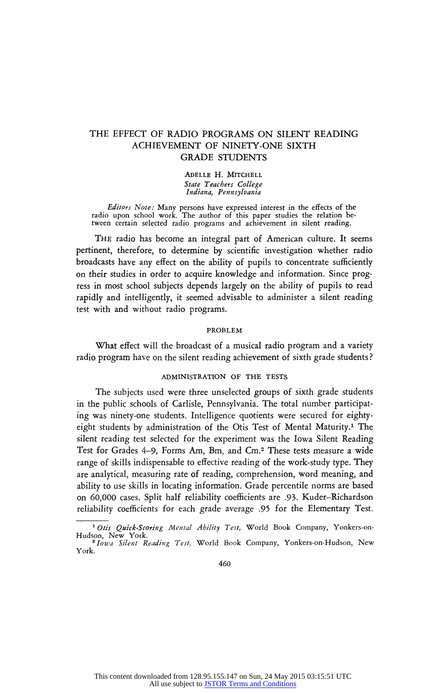# **THE EFFECT OF RADIO PROGRAMS ON SILENT READING ACHIEVEMENT OF NINETY-ONE SIXTH GRADE STUDENTS**

ADELLE H. MITCHELL<br>State Teachers College **State Teachers College Indiana, Pennsylvania** 

**Editors IVOIE:** Many persons have expressed interest in the effects of the radio upon school work. The author of this paper studies the relation be **tween certain selected radio programs and achievement in silent reading.** 

**The radio has become an integral part of American culture. It seems pertinent, therefore, to determine by scientific investigation whether radio broadcasts have any effect on the ability of pupils to concentrate sufficiently on their studies in order to acquire knowledge and information. Since prog ress in most school subjects depends largely on the ability of pupils to read rapidly and intelligently, it seemed advisable to administer a silent reading test with and without radio programs.** 

## **PROBLEM**

**What effect will the broadcast of a musical radio program and a variety radio program have on the silent reading achievement of sixth grade students ?** 

## **ADMINISTRATION OF THE TESTS**

**The subjects used were three unselected groups of sixth grade students**  in the public schools of Carlisle, Pennsylvania. The total number participat**ing was ninety-one students. Intelligence quotients were secured for eighty eight students by administration of the Otis Test of Mental Maturity.1 The silent reading test selected for the experiment was the Iowa Silent Reading Test for Grades 4-9, Forms Am, Bm, and Cm.2 These tests measure a wide range of skills indispensable to effective reading of the work-study type. They are analytical, measuring rate of reading, comprehension, word meaning, and ability to use skills in locating information. Grade percentile norms are based on 60,000 cases. Split half reliability coefficients are .93. Kuder-Richardson reliability coefficients for each grade average .95 for the Elementary Test.** 

**<sup>1</sup> Otis Quick-Scoring Mental Ability Test, World Book Company, Yonkers-on Hudson, New York.** 

**<sup>2</sup> Iowa Silent Reading Test, World Book Company, Yonkers-on-Hudson, New York.**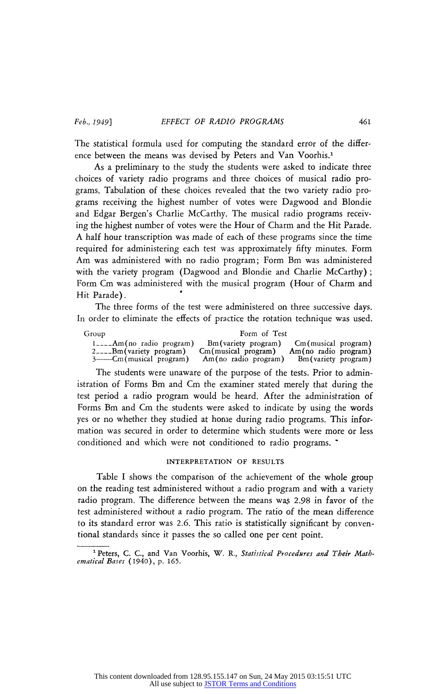The statistical formula used for computing the standard error of the differ**ence between the means was devised by Peters and Van Voorhis.1** 

**As a preliminary to the study the students were asked to indicate three**  choices of variety radio programs and three choices of musical radio programs. Tabulation of these choices revealed that the two variety radio pro**grams receiving the highest number of votes were Dagwood and Blondie**  and Edgar Bergen's Charlie McCarthy. The musical radio programs receiv**ing the highest number of votes were the Hour of Charm and the Hit Parade. A half hour transcription was made of each of these programs since the time required for administering each test was approximately fifty minutes. Form Am was administered with no radio program; Form Bm was administered with the variety program (Dagwood and Blondie and Charlie McCarthy) ; Form Cm was administered with the musical program (Hour of Charm and Hit Parade).** 

**The three forms of the test were administered on three successive days. In order to eliminate the effects of practice the rotation technique was used.** 

| Group                          | Form of Test           |                        |  |
|--------------------------------|------------------------|------------------------|--|
| $1_{---}$ Am(no radio program) | Bm (variety program)   | Cm(musical program)    |  |
| $2_{---}$ Bm (variety program) | $Cm$ (musical program) | $Am(no$ radio program) |  |
| 3——Cm(musical program)         | Am(no radio program)   | Bm (variety program)   |  |

**The students were unaware of the purpose of the tests. Prior to adm istration of Forms Bm and Cm the examiner stated merely that during the test period a radio program would be heard. After the administration of Forms Bm and Cm the students were asked to indicate by using the words yes or no whether they studied at home during radio programs. This infor mation was secured in order to determine which students were more or less conditioned and which were not conditioned to radio programs. \*** 

## **INTERPRETATION OF RESULTS**

**Table I shows the comparison of the achievement of the whole group on the reading test administered without a radio program and with a variety**  radio program. The difference between the means was 2.98 in favor of the **test administered without a radio program. The ratio of the mean difference to its standard error was 2.6. This ratio is statistically significant by conven tional standards since it passes the so called one per cent point.** 

<sup>&</sup>lt;sup>1</sup> Peters, C. C., and Van Voorhis, W. R., Statistical Procedures and Their Math **Procedures ematical Bases (1940), p. 165.**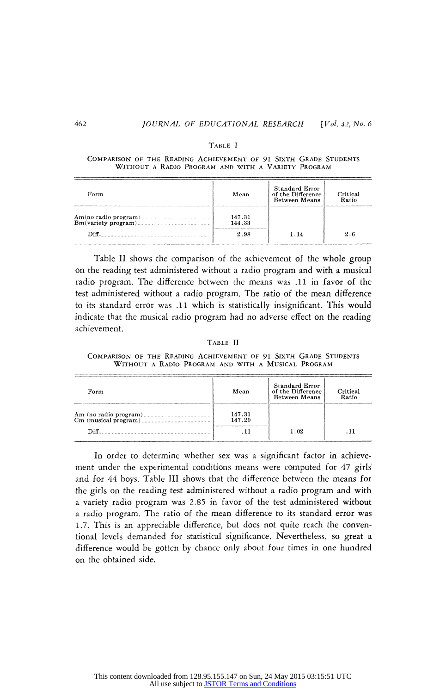#### **Table I**

#### **Comparison of the Reading Achievement of 91 Sixth Grade Students Without a Radio Program and with a Variety Program**

| Form | Mean                     | <b>Standard Error</b><br>of the Difference<br>Between Means | Critical<br>Ratio |
|------|--------------------------|-------------------------------------------------------------|-------------------|
| Diff | 147.31<br>144.33<br>2.98 |                                                             | 26                |

**Table II shows the comparison of the achievement of the whole group on the reading test administered without a radio program and with a musical radio program. The difference between the means was .11 in favor of the test administered without a radio program. The ratio of the mean difference to its standard error was .11 which is statistically insignificant. This would indicate that the musical radio program had no adverse effect on the reading achievement.** 

**Table II** 

**Comparison of the Reading Achievement of 91 Sixth Grade Students Without a Radio Program and with a Musical Program** 

| Form  | Mean             | <b>Standard Error</b><br>of the Difference  <br><b>Between Means</b> | Critical<br>Ratio |
|-------|------------------|----------------------------------------------------------------------|-------------------|
| Diff. | 147.31<br>147.20 | 1.02                                                                 |                   |

In order to determine whether sex was a significant factor in achieve**ment under the experimental conditions means were computed for 47 girls' and for 44 boys. Table III shows that the difference between the means for the girls on the reading test administered without a radio program and with**  a variety radio program was 2.85 in favor of the test administered with a radio program. The ratio of the mean difference to its standard error **w** 1.7. This is an appreciable difference, but does not quite reach the conven**tional levels demanded for statistical significance. Nevertheless, so great a difference would be gotten by chance only about four times in one hundred on the obtained side.**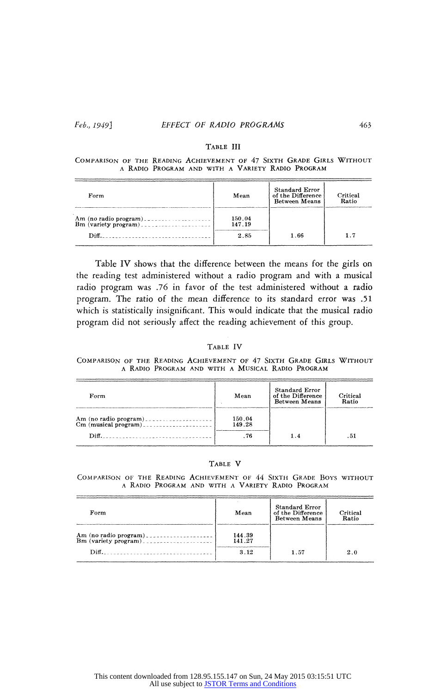## **Feb., 1949] EFFECT OF RADIO PROGRAMS 463**

## **Table III**

# **COMPARISON OF THE READING ACHIEVEMENT OF 47 SIXTH GRADE GIRLS WITH a** RADIO PROGRAM **and with a Variety Radio Program**

| Form  | Mean                     | <b>Standard Error</b><br>of the Difference<br><b>Between Means</b> | Critical<br>Ratio |
|-------|--------------------------|--------------------------------------------------------------------|-------------------|
| Diff. | 150.04<br>147.19<br>2.85 | 1.66                                                               | 1.7               |

**Table IV shows that the difference between the means for the girls on the reading test administered without a radio program and with a musical radio program was .76 in favor of the test administered without a radio program. The ratio of the mean difference to its standard error was .51 which is statistically insignificant. This would indicate that the musical radio program did not seriously affect the reading achievement of this group.** 

## **Table IV**

## **Comparison of the Reading Achievement of 47 Sixth Grade Girls Without a Radio Program and with a Musical Radio Program**

| Form                                                   | Mean                     | Standard Error<br>of the Difference<br><b>Between Means</b> | Critical<br>Ratio |
|--------------------------------------------------------|--------------------------|-------------------------------------------------------------|-------------------|
| Am (no radio program)<br>Cm (musical program)<br>Diff. | 150.04<br>149.28<br>. 76 |                                                             | 51                |

## **Table V**

**COMPARISON OF THE READING ACHIEVEMENT OF 44 SIXTH GRADE BOYS WITH**<br>**a RADIO Program and with a Variety Radio Program** 

| Form | Mean                     | <b>Standard Error</b><br>of the Difference<br><b>Between Means</b> | Critical<br>Ratio |
|------|--------------------------|--------------------------------------------------------------------|-------------------|
| Diff | 144.39<br>141.27<br>3.12 | 1.57                                                               | 2.0               |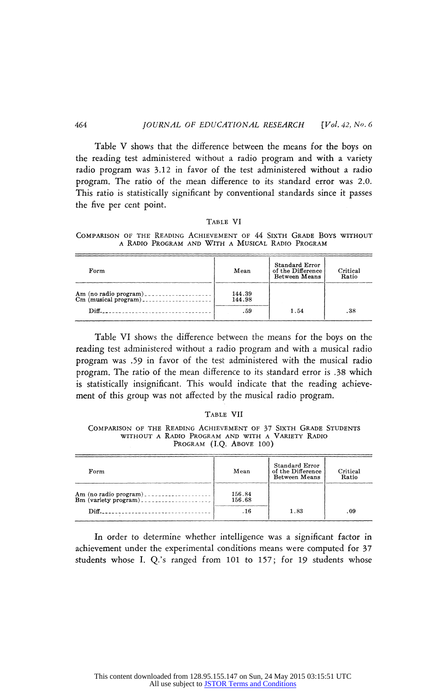**Table V shows that the difference between the means for the boys on the reading test administered without a radio program and with a variety radio program was 3.12 in favor of the test administered without a radio program. This ratio is statistically significant by conventional standards since it passes The ratio of the mean difference to its standard error was 2.0. the five per cent point.** 

## **Table VI**

**Comparison of the Reading Achievement of 44 Sixth Grade Boys without a Radio Program and With a Musical Radio Program** 

| Form             | Mean                    | <b>Standard Error</b><br>of the Difference<br><b>Between Means</b> | Critical<br>Ratio |
|------------------|-------------------------|--------------------------------------------------------------------|-------------------|
| $\mathbf{Diff.}$ | 144.39<br>144.98<br>.59 | 1.54                                                               | .38               |

**Table VI shows the difference between the means for the boys on the reading test administered without a radio program and with a musical radio program was .59 in favor of the test administered with the musical radio program. The ratio of the mean difference to its standard error is .38 which**  is statistically insignificant. This would indicate that the reading achieve**ment of this group was not affected by the musical radio program.** 

## **Table VII**

**Comparison of the Reading Achievement of 37 Sixth Grade Students without a Radio Program and with a Variety Radio Program (I.Q. Above 100)** 

| Form  | Mean             | Standard Error<br>of the Difference<br><b>Between Means</b> | Critical<br>Ratio |
|-------|------------------|-------------------------------------------------------------|-------------------|
| Diff. | 156.84<br>156.68 | 1.83                                                        | -09               |

**In order to determine whether intelligence was a significant factor in achievement under the experimental conditions means were computed for 37 students whose I. Q.'s ranged from 101 to 157; for 19 students whose**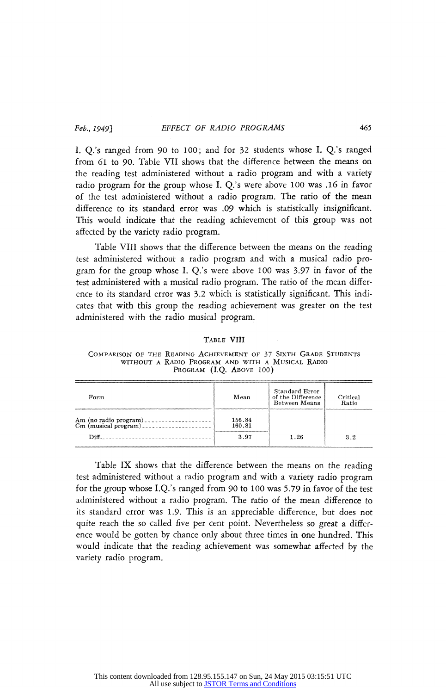**I. Q.'s ranged from 90 to 100; and for 32 students whose I. Q.'s ranged from 61 to 90. Table VII shows that the difference between the means on the reading test administered without a radio program and with a variety**  radio program for the group whose **I**. Q.'s were above 100 was .16 in fav **of the test administered without a radio program. The ratio of the mean difference to its standard error was .09 which is statistically insignificant. This would indicate that the reading achievement of this group was not affected by the variety radio program.** 

**Table VIII shows that the difference between the means on the reading test administered without a radio program and with a musical radio**  gram for the group whose I. Q.'s were above 100 was 3.97 in favor of the **property test administered with a musical radio program. The ratio of the mean differ**  ence to its standard error was 3.2 which is statistically significant. This indi**cates that with this group the reading achievement was greater on the test administered with the radio musical program.** 

## **Table VIII**

**Comparison of the Reading Achievement of 37 Sixth Grade Students without a Radio Program and with a Musical Radio**  PROGRAM (I.Q. ABOVE 100)

| Form                                                                                                                                                                                                                           | Mean                     | Standard Error<br>of the Difference<br>Between Means | Critical<br>Ratio |
|--------------------------------------------------------------------------------------------------------------------------------------------------------------------------------------------------------------------------------|--------------------------|------------------------------------------------------|-------------------|
| Diff. The contract of the contract of the contract of the contract of the contract of the contract of the contract of the contract of the contract of the contract of the contract of the contract of the contract of the cont | 156.84<br>160.81<br>3.97 | 1.26                                                 | 3.2               |

**Table IX shows that the difference between the means on the reading test administered without a radio program and with a variety radio program for the group whose I.Q.'s ranged from 90 to 100 was 5.79 in favor of the test administered without a radio program. The ratio of the mean difference to its standard error was 1.9. This is an appreciable difference, but does not quite reach the so called live per cent point. Nevertheless so great a different vector ence would be gotten by chance only about three times in one hundred. This would indicate that the reading achievement was somewhat affected by the variety radio program.**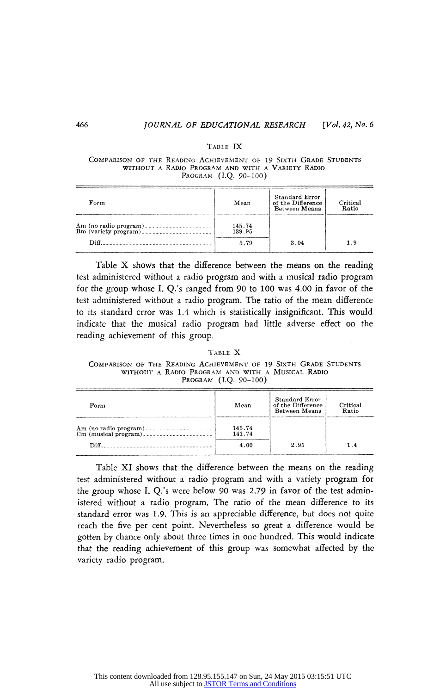## **Table IX**

#### **Comparison of the Reading Achievement of 19 Sixth Grade Students without a Radio Program and with a Variety Radio Program (I.Q. 90-100)**

| Form | Mean                     | Standard Error<br>of the Difference<br>Between Means | Critical<br>Ratio |
|------|--------------------------|------------------------------------------------------|-------------------|
| Diff | 145.74<br>139.95<br>5.79 | 3.04                                                 | ם ו               |

**Table X shows that the difference between the means on the reading test administered without a radio program and with a musical radio program for the group whose I. Q.'s ranged from 90 to 100 was 4.00 in favor of the test administered without a radio program. The ratio of the mean difference to its standard error was 1.4 which is statistically insignificant. This would indicate that the musical radio program had little adverse effect on the reading achievement of this group.** 

**Table X Comparison of the Reading Achievement of 19 Sixth Grade Students without a Radio Program and with a Musical Radio Program (I.Q. 90-100)** 

| Form | Mean                     | Standard Error<br>of the Difference<br>Between Means | Critical<br>Ratio |
|------|--------------------------|------------------------------------------------------|-------------------|
| Diff | 145.74<br>141.74<br>4.00 | 2.95                                                 |                   |

**Table XI shows that the difference between the means on the reading test administered without a radio program and with a variety program for the group whose I. Q.'s were below 90 was 2.79 in favor of the test admin istered without a radio program. The ratio of the mean difference to its standard error was 1.9. This is an appreciable difference, but does not quite reach the five per cent point. Nevertheless so great a difference would be gotten by chance only about three times in one hundred. This would indicate that the reading achievement of this group was somewhat affected by the variety radio program.**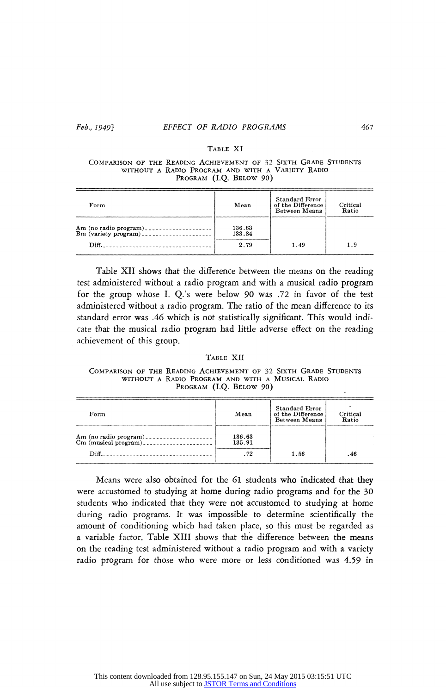## **Feb., 1949} EFFECT OF RADIO PROGRAMS 461**

## **Table XI**

## **Comparison of the Reading Achievement of 32 Sixth Grade Students without a Radio Program and with a Variety Radio Program (I.Q. Below 90)**

| Form                    | Mean                     | Standard Error<br>of the Difference<br>Between Means | <b>Critical</b><br>Ratio |
|-------------------------|--------------------------|------------------------------------------------------|--------------------------|
| $Diff.$ $\qquad \qquad$ | 136.63<br>133.84<br>2.79 | 1.49                                                 | 19                       |

**Table XII shows that the difference between the means on the reading test administered without a radio program and with a musical radio program**  for the group whose I. Q.'s were below 90 was .72 in favor of the te administered without a radio program. The ratio of the mean difference to its **standard error was .46 which is not statistically significant. This would indi cate that the musical radio program had little adverse effect on the reading achievement of this group.** 

#### **Table XII**

**Comparison of the Reading Achievement of 32 Sixth Grade Students without a Radio Program and with a Musical Radio Program (I.Q. Below 90)** 

| Form                                                                                                                                                                                                                                                                                                                                                                                                 | Mean                   | <b>Standard Error</b><br>of the Difference<br>Between Means | Critical<br>Ratio |
|------------------------------------------------------------------------------------------------------------------------------------------------------------------------------------------------------------------------------------------------------------------------------------------------------------------------------------------------------------------------------------------------------|------------------------|-------------------------------------------------------------|-------------------|
| Am (no radio program)<br>Cm (musical program)<br>$\mathbf{Diff}$ and $\mathbf{Diff}$ and $\mathbf{Diff}$ and $\mathbf{Diff}$ and $\mathbf{Diff}$ and $\mathbf{Diff}$ and $\mathbf{Diff}$ and $\mathbf{Diff}$ and $\mathbf{Diff}$ and $\mathbf{Diff}$ and $\mathbf{Diff}$ and $\mathbf{Diff}$ and $\mathbf{Diff}$ and $\mathbf{Diff}$ and $\mathbf{Diff}$ and $\mathbf{Diff}$ and $\mathbf{Diff}$ and | 136.63<br>135.91<br>72 | 1.56                                                        | .46               |

**Means were also obtained for the 61 students who indicated that they were accustomed to studying at home during radio programs and for the 30 students who indicated that they were not accustomed to studying at home during radio programs. It was impossible to determine scientifically the amount of conditioning which had taken place, so this must be regarded as a variable factor. Table XIII shows that the difference between the means on the reading test administered without a radio program and with a variety radio program for those who were more or less conditioned was 4.59 in**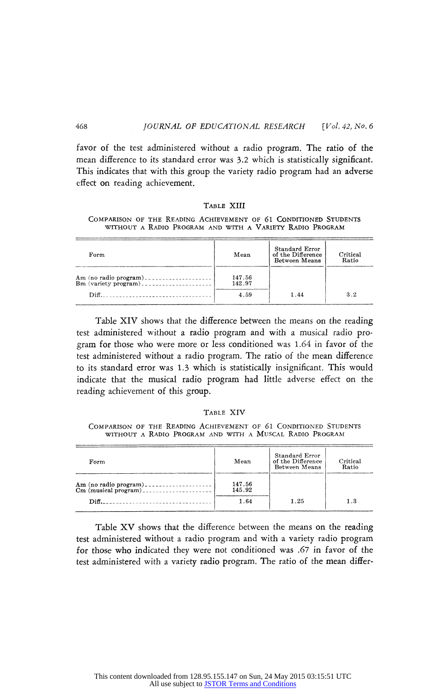**favor of the test administered without a radio program. The ratio of the mean difference to its standard error was 3.2 which is statistically significant. This indicates that with this group the variety radio program had an adverse effect on reading achievement.** 

#### **Table XIII**

## **Comparison of the Reading Achievement of 61 Conditioned Students without a Radio Program and with a Variety Radio Program**

| Form                                                                                                                                                                                                                                                                                                                                                | Mean                     | <b>Standard Error</b><br>of the Difference<br>Between Means | Critical<br>Ratio |
|-----------------------------------------------------------------------------------------------------------------------------------------------------------------------------------------------------------------------------------------------------------------------------------------------------------------------------------------------------|--------------------------|-------------------------------------------------------------|-------------------|
| $\mathbf{Diff}$ and $\mathbf{Diff}$ and $\mathbf{Diff}$ and $\mathbf{Diff}$ and $\mathbf{Diff}$ and $\mathbf{Diff}$ and $\mathbf{Diff}$ and $\mathbf{Diff}$ and $\mathbf{Diff}$ and $\mathbf{Diff}$ and $\mathbf{Diff}$ and $\mathbf{Diff}$ and $\mathbf{Diff}$ and $\mathbf{Diff}$ and $\mathbf{Diff}$ and $\mathbf{Diff}$ and $\mathbf{Diff}$ and | 147.56<br>142.97<br>4.59 | 1.44                                                        | 3.2               |

**Table XIV shows that the difference between the means on the reading**  test administered without a radio program and with a musical radio pro**gram for those who were more or less conditioned was 1.64 in favor of the test administered without a radio program. The ratio of the mean difference to its standard error was 1.3 which is statistically insignificant. This would indicate that the musical radio program had little adverse effect on the reading achievement of this group.** 

## **Table XIV**

**Comparison of the Reading Achievement of 61 Conditioned Students without a Radio Program and with a Muscal Radio Program** 

| Form  | Mean                     | Standard Error<br>of the Difference<br>Between Means | Critical<br>Ratio |
|-------|--------------------------|------------------------------------------------------|-------------------|
| Diff. | 147.56<br>145.92<br>1.64 | 1.25                                                 | 12                |

**Table XV shows that the difference between the means on the reading test administered without a radio program and with a variety radio program for those who indicated they were not conditioned was .67 in favor of the test administered with a variety radio program. The ratio of the mean differ**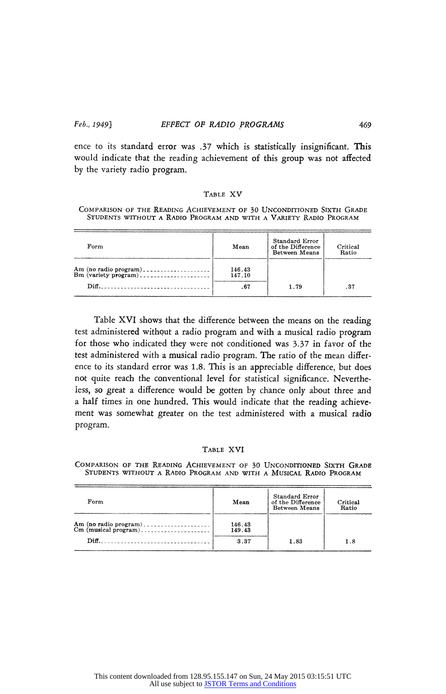**ence to its standard error was .37 which is statistically insignificant. This would indicate that the reading achievement of this group was not affected by the variety radio program.** 

#### **Table XV**

## **Comparison of the Reading Achievement of 30 Unconditioned Sixth Grade Students without a Radio Program and with a Variety Radio Program**

| Form                                                   | Mean             | <b>Standard Error</b><br>of the Difference<br>Between Means | Critical<br>Ratio |
|--------------------------------------------------------|------------------|-------------------------------------------------------------|-------------------|
| Am (no radio program)<br>Bm (variety program)<br>Diff. | 146.43<br>147.10 | 1.79                                                        | .37               |

**Table XVI shows that the difference between the means on the reading test administered without a radio program and with a musical radio program for those who indicated they were not conditioned was 3-37 in favor of the test administered with a musical radio program. The ratio of the mean differ ence to its standard error was 1.8. This is an appreciable difference, but does not quite reach the conventional level for statistical significance. Neverthe less, so great a difference would be gotten by chance only about three and a half times in one hundred. This would indicate that the reading achieve ment was somewhat greater on the test administered with a musical radio program.** 

## **Table XVI**

**Comparison of the Reading Achievement of 30 Unconditioned Sixth Grade Students without a Radio Program and with a Musical Radio Program** 

| Form  | Mean             | Standard Error<br>of the Difference<br>Between Means | Critical<br>Ratio |
|-------|------------------|------------------------------------------------------|-------------------|
|       | 146.43<br>149.43 |                                                      |                   |
| Diff. | 3.37             | 1.83                                                 | 1.8               |